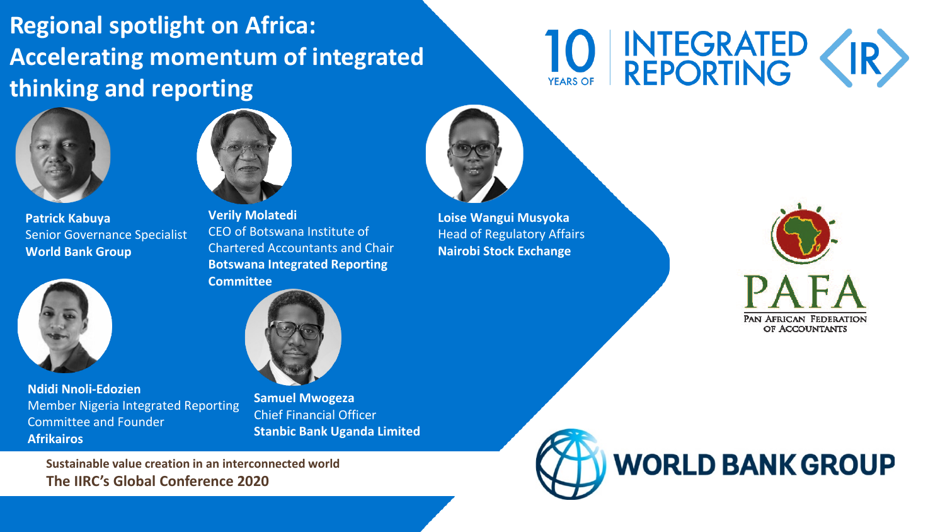#### **Regional spotlight on Africa: Accelerating momentum of integrated thinking and reporting**

# INTEGRATED (IR)



**Patrick Kabuya** Senior Governance Specialist **World Bank Group**



**Ndidi Nnoli-Edozien** Member Nigeria Integrated Reporting Committee and Founder **Afrikairos**



**Verily Molatedi** CEO of Botswana Institute of Chartered Accountants and Chair **Botswana Integrated Reporting Committee**



**Samuel Mwogeza** Chief Financial Officer **Stanbic Bank Uganda Limited**

**Sustainable value creation in an interconnected world The IIRC's Global Conference 2020**



**Loise Wangui Musyoka** Head of Regulatory Affairs **Nairobi Stock Exchange**



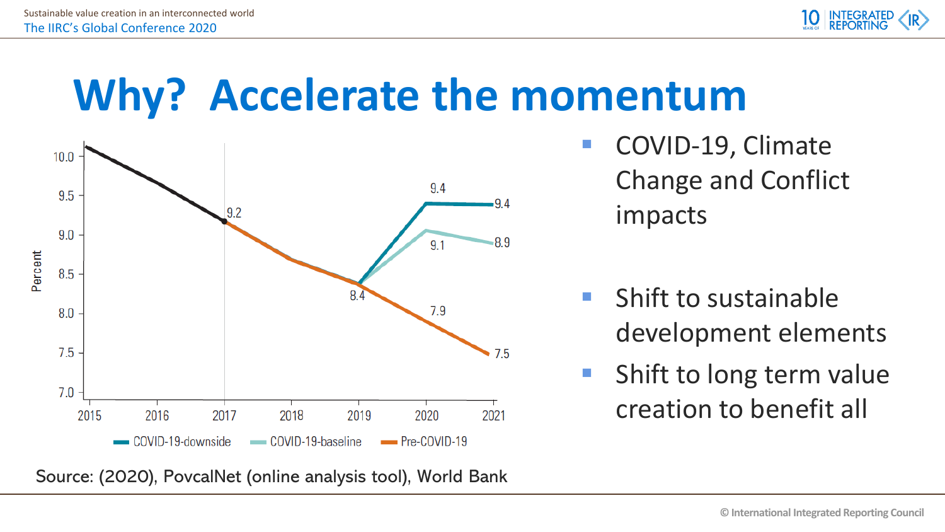

### **Why? Accelerate the momentum**



- COVID-19, Climate Change and Conflict impacts
- $\blacksquare$  Shift to sustainable development elements
- **Shift to long term value** creation to benefit all

Source: (2020), PovcalNet (online analysis tool), World Bank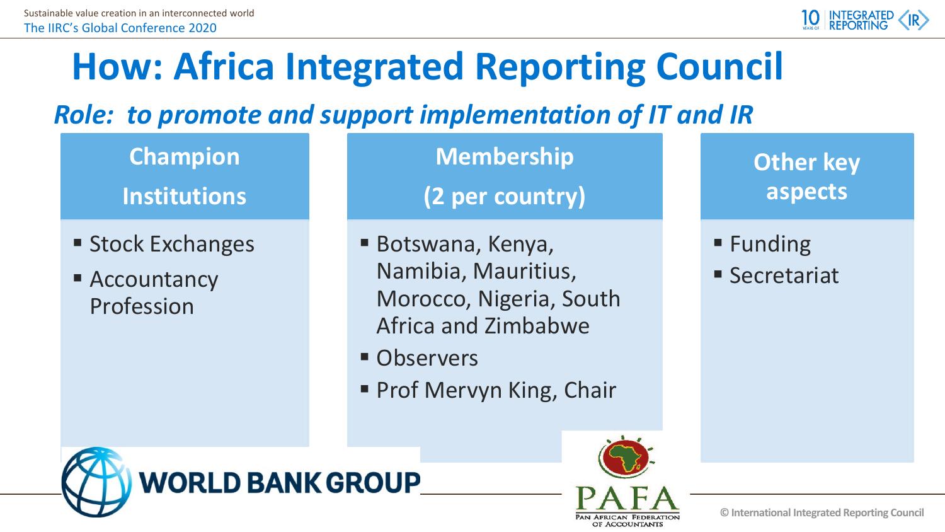

#### **How: Africa Integrated Reporting Council**

*Role: to promote and support implementation of IT and IR*

**Champion Institutions**

- **Stock Exchanges**
- Accountancy Profession

**Membership**

**(2 per country)**

- Botswana, Kenya, Namibia, Mauritius, Morocco, Nigeria, South Africa and Zimbabwe
- **Observers**
- **Prof Mervyn King, Chair**

**Other key aspects**

 $\blacksquare$  Funding

■ Secretariat



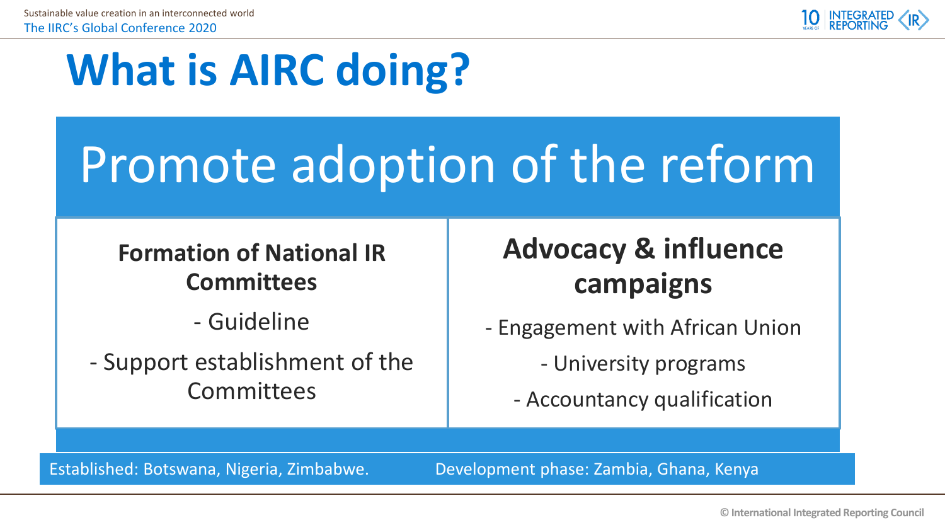

### **What is AIRC doing?**

## Promote adoption of the reform

**Formation of National IR Committees**

- Guideline

- Support establishment of the **Committees** 

**Advocacy & influence campaigns**

- Engagement with African Union

- University programs

- Accountancy qualification

Established: Botswana, Nigeria, Zimbabwe. Development phase: Zambia, Ghana, Kenya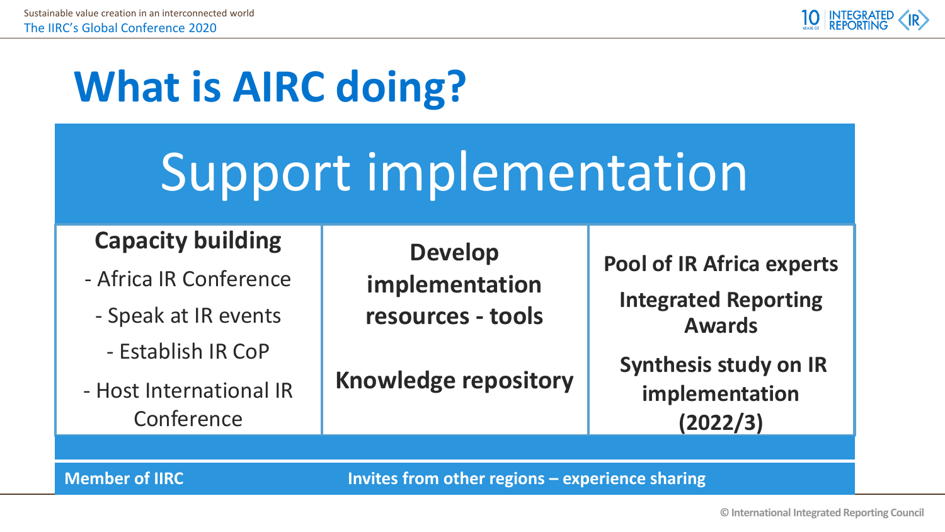

### **What is AIRC doing?**

## Support implementation

#### **Capacity building**

- Africa IR Conference
	- Speak at IR events
		- Establish IR CoP
- Host International IR Conference

**Develop implementation resources - tools**

**Knowledge repository**

**Pool of IR Africa experts**

**Integrated Reporting Awards**

**Synthesis study on IR implementation (2022/3)**

**Member of IIRC Invites from other regions – experience sharing**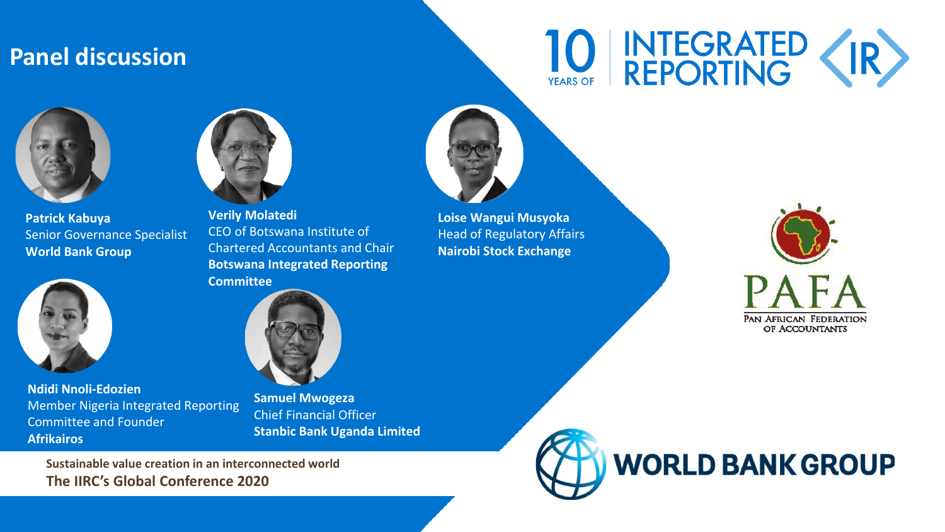#### **Panel discussion**

# 10 INTEGRATED (IR)



**Patrick Kabuya** Senior Governance Specialist **World Bank Group**



**Ndidi Nnoli-Edozien** Member Nigeria Integrated Reporting Committee and Founder **Afrikairos**



**Verily Molatedi** CEO of Botswana Institute of Chartered Accountants and Chair **Botswana Integrated Reporting Committee**



**Samuel Mwogeza** Chief Financial Officer **Stanbic Bank Uganda Limited**

**Sustainable value creation in an interconnected world The IIRC's Global Conference 2020**



**Loise Wangui Musyoka** Head of Regulatory Affairs **Nairobi Stock Exchange**